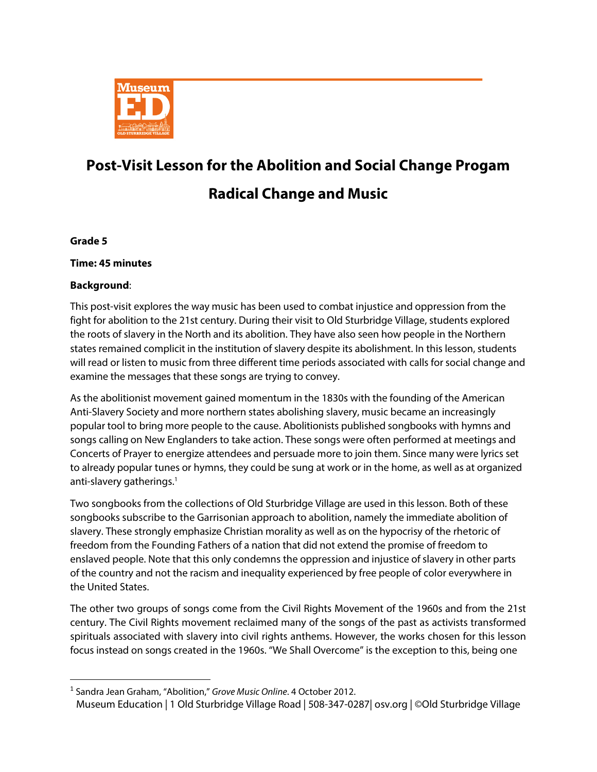

# **Post-Visit Lesson for the Abolition and Social Change Progam Radical Change and Music**

# **Grade 5**

### **Time: 45 minutes**

# **Background**:

This post-visit explores the way music has been used to combat injustice and oppression from the fight for abolition to the 21st century. During their visit to Old Sturbridge Village, students explored the roots of slavery in the North and its abolition. They have also seen how people in the Northern states remained complicit in the institution of slavery despite its abolishment. In this lesson, students will read or listen to music from three different time periods associated with calls for social change and examine the messages that these songs are trying to convey.

As the abolitionist movement gained momentum in the 1830s with the founding of the American Anti-Slavery Society and more northern states abolishing slavery, music became an increasingly popular tool to bring more people to the cause. Abolitionists published songbooks with hymns and songs calling on New Englanders to take action. These songs were often performed at meetings and Concerts of Prayer to energize attendees and persuade more to join them. Since many were lyrics set to already popular tunes or hymns, they could be sung at work or in the home, as well as at organized anti-slavery gatherings.<sup>[1](#page-0-0)</sup>

Two songbooks from the collections of Old Sturbridge Village are used in this lesson. Both of these songbooks subscribe to the Garrisonian approach to abolition, namely the immediate abolition of slavery. These strongly emphasize Christian morality as well as on the hypocrisy of the rhetoric of freedom from the Founding Fathers of a nation that did not extend the promise of freedom to enslaved people. Note that this only condemns the oppression and injustice ofslavery in other parts of the country and not the racism and inequality experienced by free people of color everywhere in the United States.

The other two groups of songs come from the Civil Rights Movement of the 1960s and from the 21st century. The Civil Rights movement reclaimed many of the songs of the past as activists transformed spirituals associated with slavery into civil rights anthems. However, the works chosen for this lesson focus instead on songs created in the 1960s. "We Shall Overcome" is the exception to this, being one

<span id="page-0-0"></span><sup>1</sup> Sandra Jean Graham, "Abolition," *Grove Music Online*. 4 October 2012.

Museum Education | 1 Old Sturbridge Village Road | 508-347-0287| osv.org | ©Old Sturbridge Village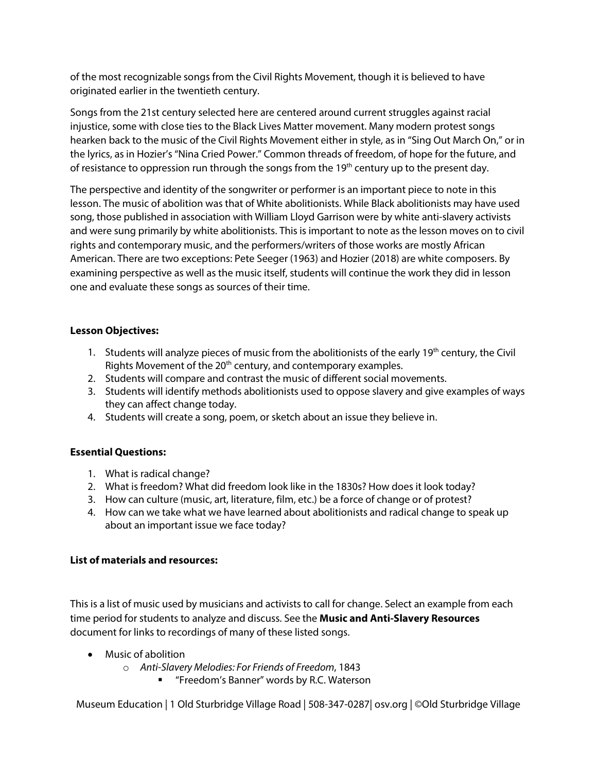of the most recognizable songs from the Civil Rights Movement, though it is believed to have originated earlier in the twentieth century.

Songs from the 21st century selected here are centered around current struggles against racial injustice, some with close ties to the Black Lives Matter movement. Many modern protest songs hearken back to the music of the Civil Rights Movement either in style, as in "Sing Out March On," or in the lyrics, as in Hozier's "Nina Cried Power." Common threads of freedom, of hope for the future, and of resistance to oppression run through the songs from the 19<sup>th</sup> century up to the present day.

The perspective and identity of the songwriter or performer is an important piece to note in this lesson. The music of abolition was that of White abolitionists. While Black abolitionists may have used song, those published in association with William Lloyd Garrison were by white anti-slavery activists and were sung primarily by white abolitionists. This is important to note as the lesson moves on to civil rights and contemporary music, and the performers/writers of those works are mostly African American. There are two exceptions: Pete Seeger (1963) and Hozier (2018) are white composers. By examining perspective as well as the music itself, students will continue the work they did in lesson one and evaluate these songs as sources of their time.

### **Lesson Objectives:**

- 1. Students will analyze pieces of music from the abolitionists of the early  $19<sup>th</sup>$  century, the Civil Rights Movement of the 20<sup>th</sup> century, and contemporary examples.
- 2. Students will compare and contrast the music of different social movements.
- 3. Students will identify methods abolitionists used to oppose slavery and give examples of ways they can affect change today.
- 4. Students will create a song, poem, or sketch about an issue they believe in.

### **Essential Questions:**

- 1. What is radical change?
- 2. What is freedom? What did freedom look like in the 1830s? How does it look today?
- 3. How can culture (music, art, literature, film, etc.) be a force of change or of protest?
- 4. How can we take what we have learned about abolitionists and radical change to speak up about an important issue we face today?

### **List of materials and resources:**

This is a list of music used by musicians and activists to call for change. Select an example from each time period for students to analyze and discuss. See the **Music and Anti-Slavery Resources**  document for links to recordings of many of these listed songs.

- Music of abolition
	- o *Anti-Slavery Melodies: For Friends of Freedom*, 1843
		- "Freedom's Banner" words by R.C. Waterson

Museum Education | 1 Old Sturbridge Village Road | 508-347-0287| osv.org | ©Old Sturbridge Village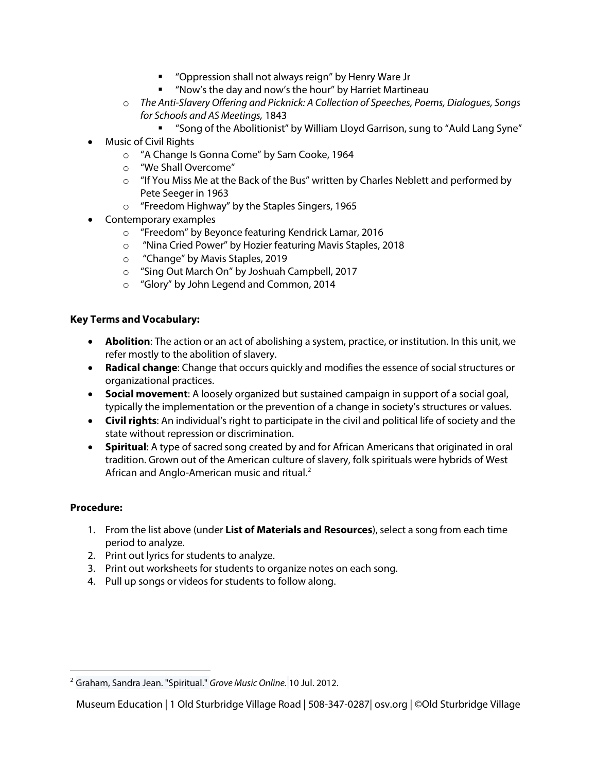- "Oppression shall not always reign" by Henry Ware Jr
- "Now's the day and now's the hour" by Harriet Martineau
- o *The Anti-Slavery Offering and Picknick: A Collection of Speeches, Poems, Dialogues, Songs for Schools and AS Meetings,* 1843
	- "Song of the Abolitionist" by William Lloyd Garrison, sung to "Auld Lang Syne"
- Music of Civil Rights
	- o "A Change Is Gonna Come" by Sam Cooke, 1964
	- o "We Shall Overcome"
	- $\circ$  "If You Miss Me at the Back of the Bus" written by Charles Neblett and performed by Pete Seeger in 1963
	- o "Freedom Highway" by the Staples Singers, 1965
- Contemporary examples
	- o "Freedom" by Beyonce featuring Kendrick Lamar, 2016
	- o "Nina Cried Power" by Hozier featuring Mavis Staples, 2018
	- o "Change" by Mavis Staples, 2019
	- o "Sing Out March On" by Joshuah Campbell, 2017
	- o "Glory" by John Legend and Common, 2014

### **Key Terms and Vocabulary:**

- **Abolition**: The action or an act of abolishing a system, practice, or institution. In this unit, we refer mostly to the abolition of slavery.
- **Radical change**: Change that occurs quickly and modifies the essence of social structures or organizational practices.
- **Social movement**: A loosely organized but sustained campaign in support of a social goal, typically the implementation or the prevention of a change in society's structures or values.
- **Civil rights**: An individual's right to participate in the civil and political life of society and the state without repression or discrimination.
- **Spiritual**: A type of sacred song created by and for African Americans that originated in oral tradition. Grown out of the American culture of slavery, folk spirituals were hybrids of West African and Anglo-American music and ritual.<sup>[2](#page-2-0)</sup>

#### **Procedure:**

- 1. From the list above (under **List of Materials and Resources**), select a song from each time period to analyze.
- 2. Print out lyrics for students to analyze.
- 3. Print out worksheets for students to organize notes on each song.
- 4. Pull up songs or videos for students to follow along.

<span id="page-2-0"></span><sup>2</sup> Graham, Sandra Jean. "Spiritual." *Grove Music Online.* 10 Jul. 2012.

Museum Education | 1 Old Sturbridge Village Road | 508-347-0287| osv.org | ©Old Sturbridge Village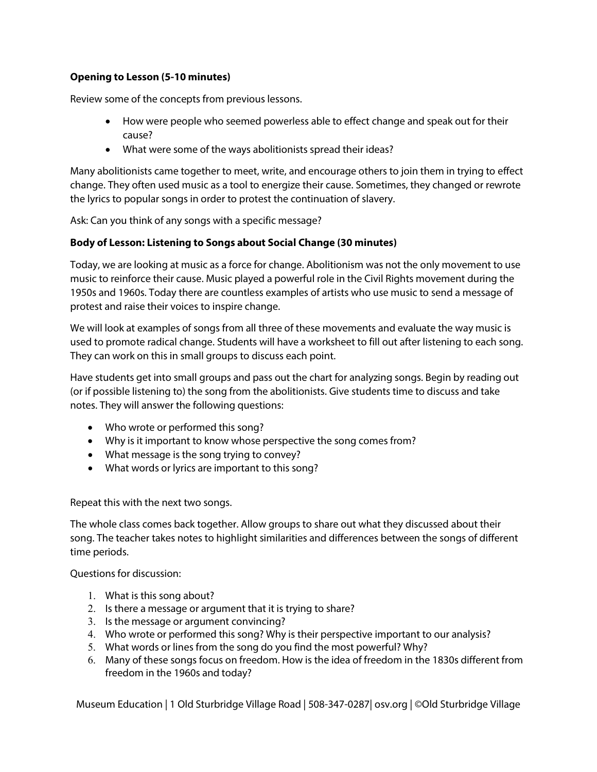# **Opening to Lesson (5-10 minutes)**

Review some of the concepts from previous lessons.

- How were people who seemed powerless able to effect change and speak out for their cause?
- What were some of the ways abolitionists spread their ideas?

Many abolitionists came together to meet, write, and encourage others to join them in trying to effect change. They often used music as a tool to energize their cause. Sometimes, they changed or rewrote the lyrics to popular songs in order to protest the continuation of slavery.

Ask: Can you think of any songs with a specific message?

### **Body of Lesson: Listening to Songs about Social Change (30 minutes)**

Today, we are looking at music as a force for change. Abolitionism was not the only movement to use music to reinforce their cause. Music played a powerful role in the Civil Rights movement during the 1950s and 1960s. Today there are countless examples of artists who use music to send a message of protest and raise their voices to inspire change.

We will look at examples of songs from all three of these movements and evaluate the way music is used to promote radical change. Students will have a worksheet to fill out after listening to each song. They can work on this in small groups to discuss each point.

Have students get into small groups and pass out the chart for analyzing songs. Begin by reading out (or if possible listening to) the song from the abolitionists. Give students time to discuss and take notes. They will answer the following questions:

- Who wrote or performed this song?
- Why is it important to know whose perspective the song comes from?
- What message is the song trying to convey?
- What words or lyrics are important to this song?

Repeat this with the next two songs.

The whole class comes back together. Allow groups to share out what they discussed about their song. The teacher takes notes to highlight similarities and differences between the songs of different time periods.

Questions for discussion:

- 1. What is this song about?
- 2. Is there a message or argument that it is trying to share?
- 3. Is the message or argument convincing?
- 4. Who wrote or performed this song? Why is their perspective important to our analysis?
- 5. What words or lines from the song do you find the most powerful? Why?
- 6. Many of these songs focus on freedom. How is the idea of freedom in the 1830s different from freedom in the 1960s and today?

Museum Education | 1 Old Sturbridge Village Road | 508-347-0287| osv.org | ©Old Sturbridge Village